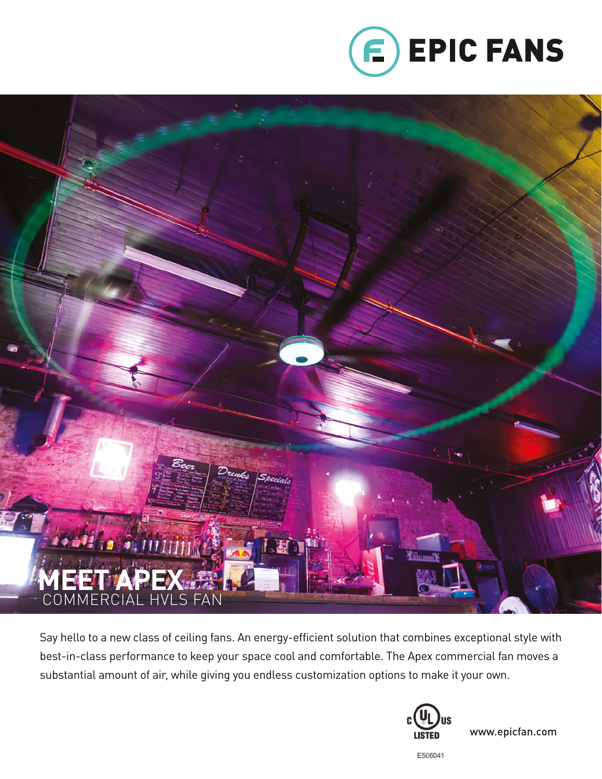



Say hello to a new class of ceiling fans. An energy-efficient solution that combines exceptional style with best-in-class performance to keep your space cool and comfortable. The Apex commercial fan moves a substantial amount of air, while giving you endless customization options to make it your own.



www.epicfan.com

E506041